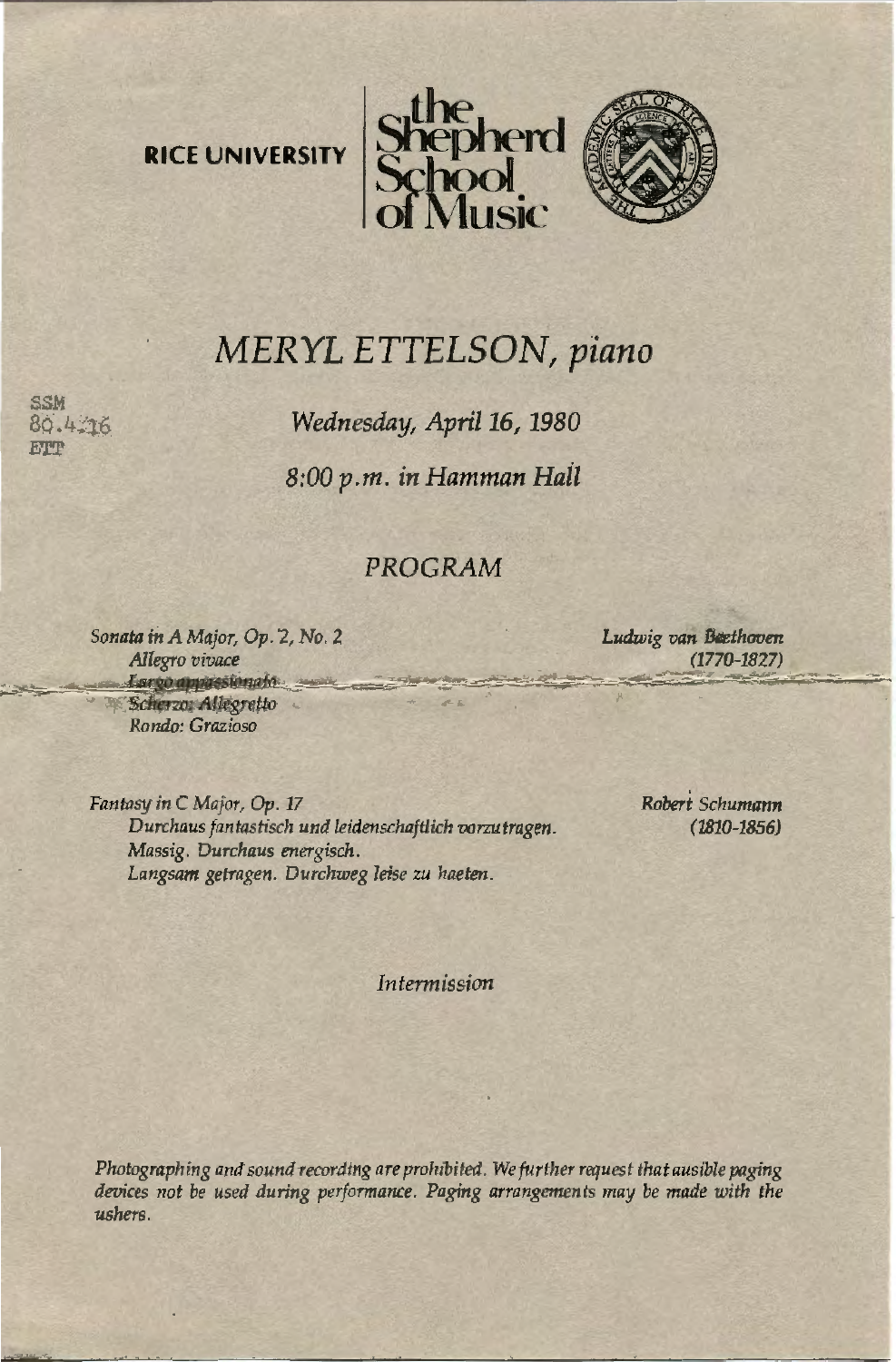



# **MERYL ETTELSON, piano**

Wednesday, April 16, 1980

8:00 p.m. in Hamman Hall

# PROGRAM

Sonata in A Major, Op. 2, No. 2 Allegro vivace Largo appassionato Scherzo: Allegretto Rondo: Grazioso

 $6.4.16$ **FTWP** 

> Ludwig van Beethoven  $(1770 - 1827)$

Fantasy in C Major, Op. 17 Durchaus fantastisch und leidenschaftlich vorzutragen. Massig. Durchaus energisch. Langsam getragen. Durchweg leise zu haeten.

Robert Schumann  $(1810 - 1856)$ 

Intermission

Photographing and sound recording are prohibited. We further request that ausible paging devices not be used during performance. Paging arrangements may be made with the ushers.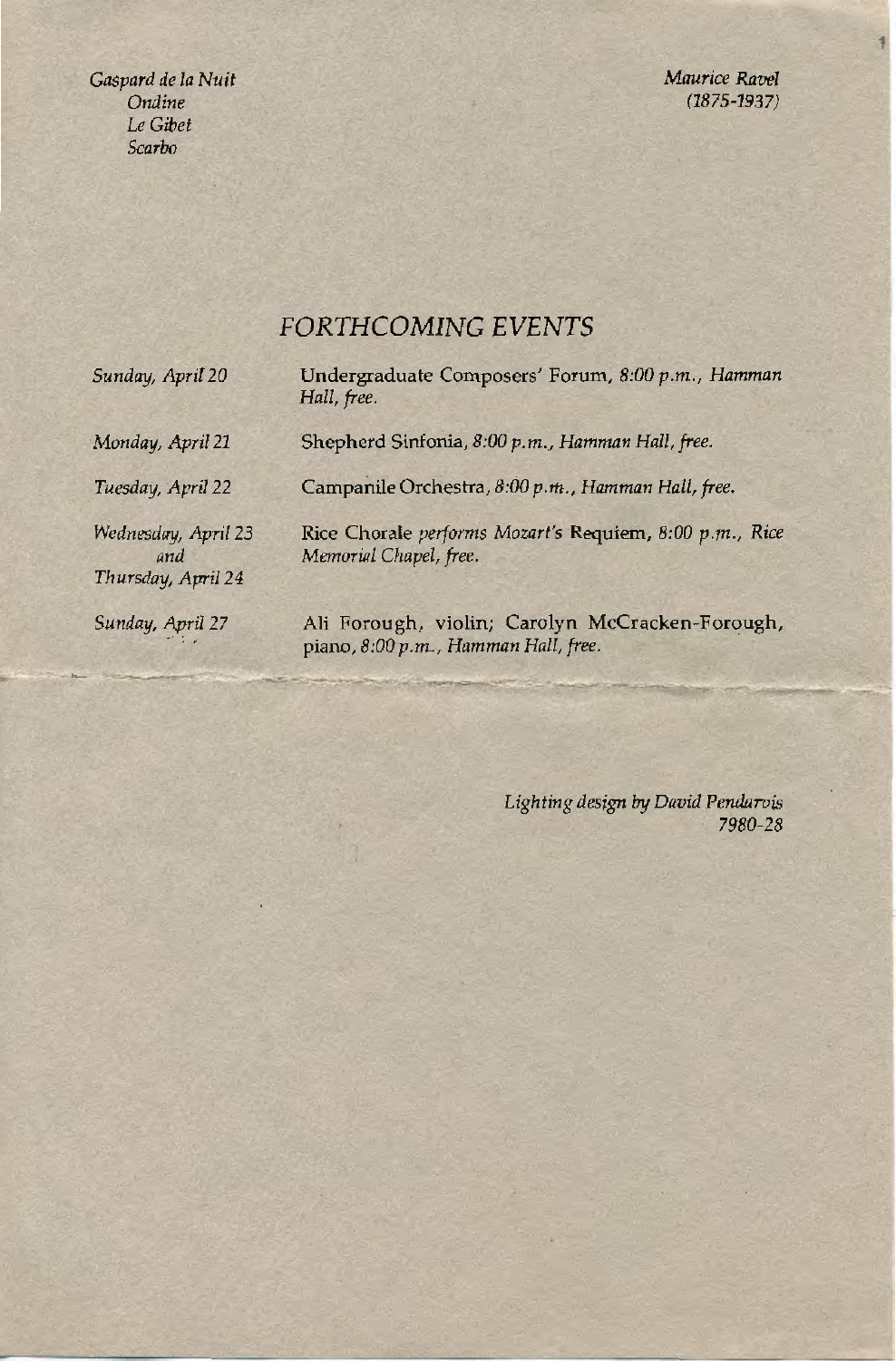*Gaspard de Ia Nuit Ondine*  Le *Gibet Scarbo* 

*Maurice Ravel (1875-1937)* 

# *FORTHCOMING EVENTS*

| Sunday, April 20                                 | Undergraduate Composers' Forum, 8:00 p.m., Hamman<br>Hall, free.                        |
|--------------------------------------------------|-----------------------------------------------------------------------------------------|
| Monday, April 21                                 | Shepherd Sinfonia, 8:00 p.m., Hamman Hall, free.                                        |
| Tuesday, April 22                                | Campanile Orchestra, 8:00 p.m., Hamman Hall, free.                                      |
| Wednesday, April 23<br>and<br>Thursday, April 24 | Rice Chorale performs Mozart's Requiem, 8:00 p.m., Rice<br>Memorial Chapel, free.       |
| Sunday, April 27                                 | Ali Forough, violin; Carolyn McCracken-Forough,<br>piano, 8:00 p.m., Hamman Hall, free. |

*Lighting design by David Pendarvis 7980-28*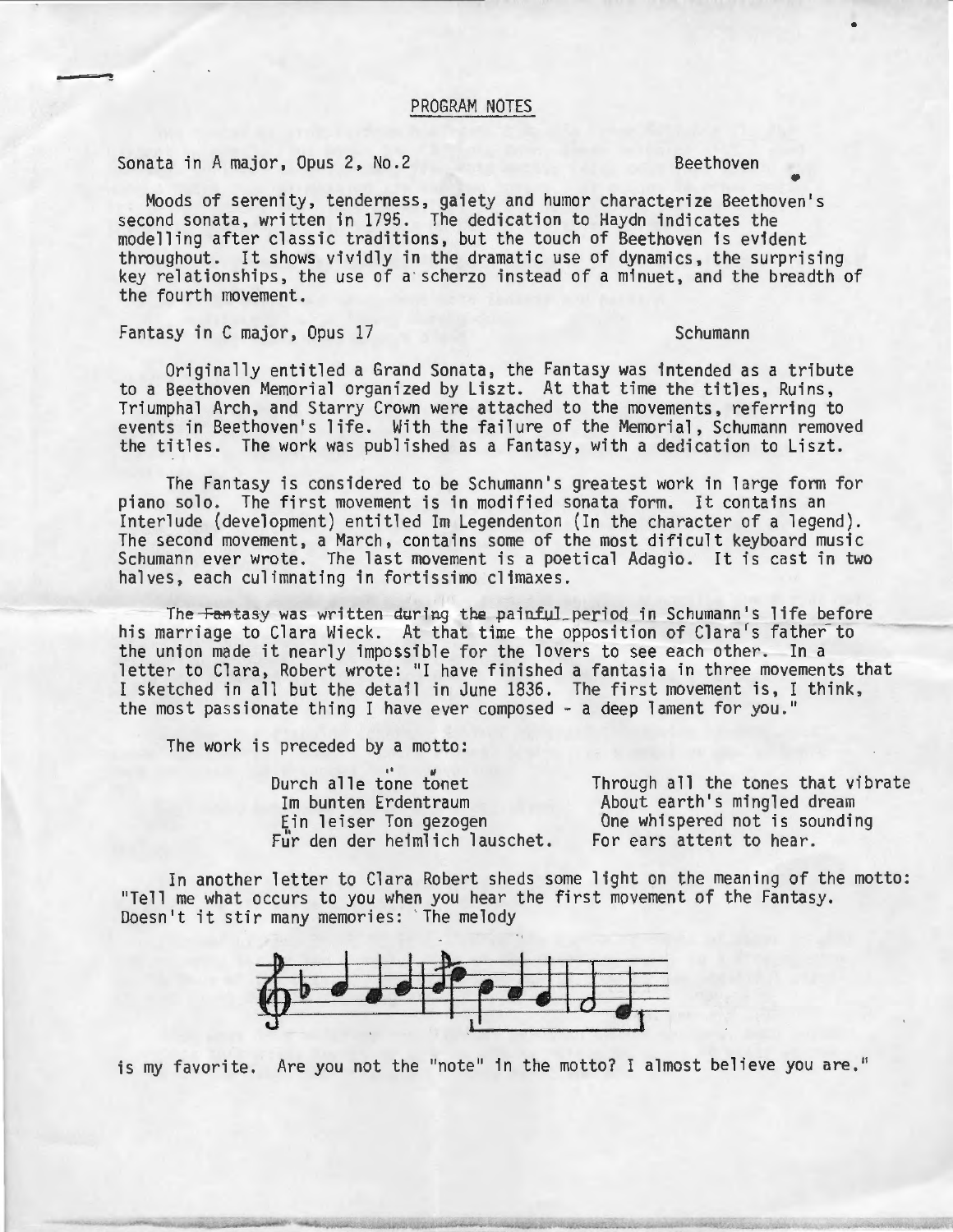#### PROGRAM NOTES

Sonata in A major, Opus 2, No.2 Beethoven

• Moods of serenity, tenderness, gaiety and humor characterize Beethoven's second sonata, written in 1795. The dedication to Haydn indicates the modelling after classic traditions, but the touch of Beethoven is evident<br>throughout. It shows vividly in the dramatic use of dynamics, the surprising key relationships, the use of a scherzo instead of a minuet, and the breadth of the fourth movement.

## Fantasy in C major, Opus 17 Schumann

Originally entitled a Grand Sonata, the Fantasy was intended as a tribute to a Beethoven Memorial organized by Liszt. At that time the titles, Ruins, Triumphal Arch, and Starry Crown were attached to the movements, referring to events in Beethoven's life. With the failure of the Memorial, Schumann removed the titles. The work was published as a Fantasy, with a dedication to Liszt.

The Fantasy is considered to be Schumann's greatest work in large form for piano solo. The first movement is in modified sonata form. It contains an<br>Interlude (development) entitled Im Legendenton (In the character of a legend). The second movement, a March, contains some of the most dificult keyboard music Schumann ever wrote. The last movement is a poetical Adagio. It is cast in two halves, each culimnating in fortissimo climaxes.

The Fantasy was written during the painful period in Schumann's life before his marriage to Clara Wieck. At that time the opposition of Clara's father to the union made it nearly impossible for the lovers to see each other. In a letter to Clara, Robert wrote: "I have finished a fantasia in three movements that I sketched in all but the detail in June 1836. The first movement is, I think, the most passionate thing I have ever composed- a deep lament for you."

The work is preceded by a motto:<br>Durch alle tone tonet

Im bunten Erdentraum Ein leiser Ton gezogen Fur den der heimlich lauschet.

Through all the tones that vibrate About earth's mingled dream One whispered not is sounding For ears attent to hear.

In another letter to Clara Robert sheds some light on the meaning of the motto: "Tell me what occurs to you when you hear the first movement of the Fantasy. Doesn't it stir many memories: ' The melody



is my favorite. Are you not the "note" in the motto? I almost believe you are."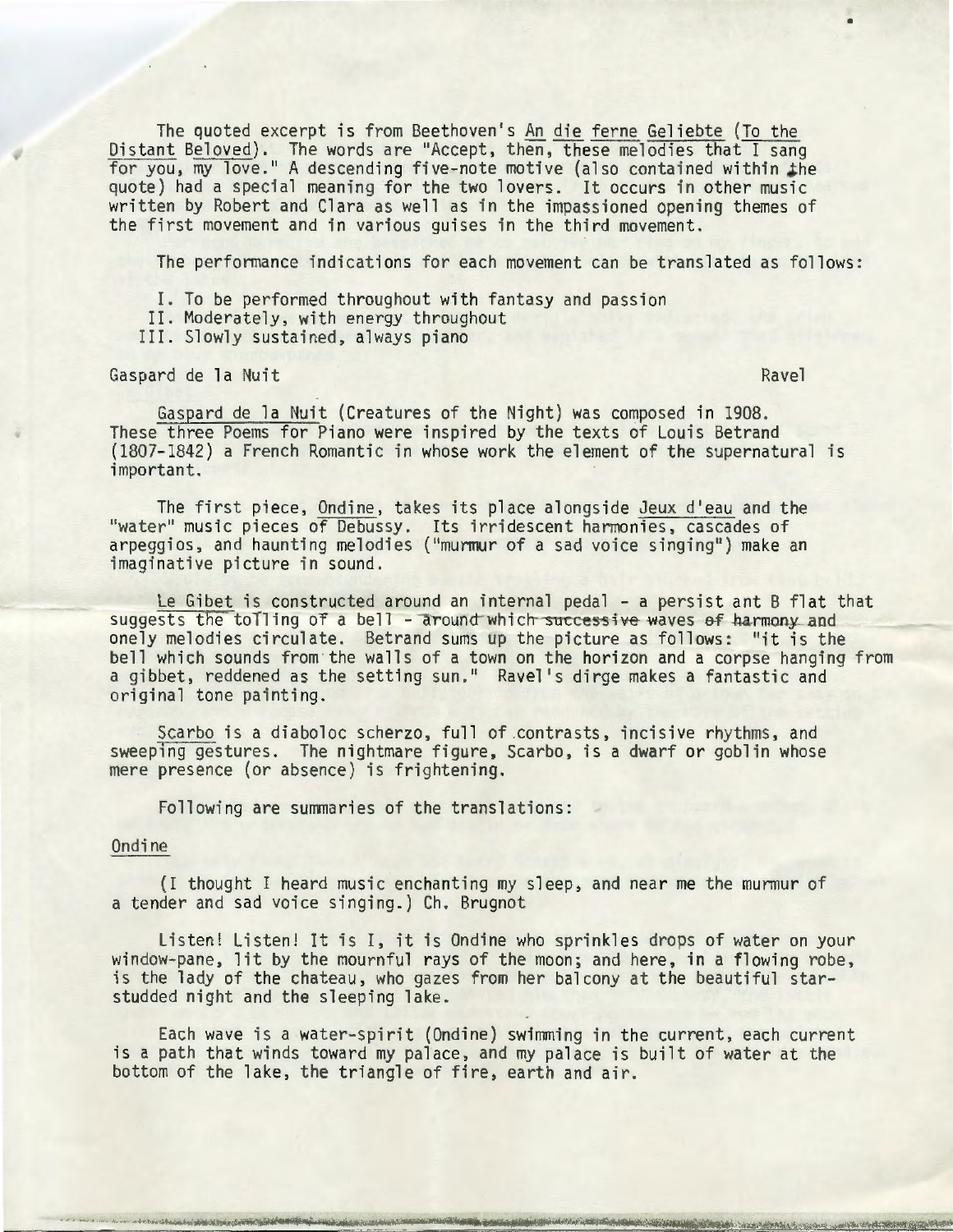The quoted excerpt is from Beethoven's An die ferne Geliebte (To the Distant Beloved). The words are "Accept, then, these melodies that I sang for you, my love." A descending five-note motive (also contained within the quote) had a special meaning for the two lovers. It occurs in other music written by Robert and Clara as well as in the impassioned opening themes of the first movement and in various guises in the third movement.

The performance indications for each movement can be translated as follows:

- I. To be performed throughout with fantasy and passion II. Moderately, with energy throughout
- 
- III. Slowly sustained, always piano

Gaspard de la Nuit Ravel

Gaspard de la Nuit (Creatures of the Night) was composed in 1908. These three Poems for Piano were inspired by the texts of Louis Betrand (1807-1842) a French Romantic in whose work the element of the supernatural is important.

The first piece, Ondine, takes its place alongside Jeux d'eau and the "water" music pieces of Debussy. Its irridescent harmonies, cascades of arpeggios, and haunting melodies ("murmur of a sad voice singing") make an imaginative picture in sound.

Le Gibet is constructed around an internal pedal - a persist ant B flat that suggests the to $T$ ling of a bell - around which successive waves of harmony and onely melodies circulate. Betrand sums up the picture as follows: "it is the bell which sounds from the walls of a town on the horizon and a corpse hanging from a gibbet, reddened as the setting sun." Ravel's dirge makes a fantastic and original tone painting.

Scarbo is a diaboloc scherzo, full of .contrasts, incisive rhythms, and sweeping gestures. The nightmare figure, Scarbo, is a dwarf or goblin whose mere presence (or absence) is frightening.

Following are summaries of the translations:

#### Ondine

(I thought I heard music enchanting my sleep, and near me the murmur of a tender and sad voice singing.) Ch. Brugnot

Listen! Listen! It is I, it is Ondine who sprinkles drops of water on your window-pane, lit by the mournful rays of the moon; and here, in a flowing robe, is the lady of the chateau, who gazes from her balcony at the beautiful starstudded night and the sleeping lake.

Each wave is a water-spirit (Ondine) swimming in the current, each current is a path that winds toward my palace, and my palace is built of water at the bottom of the lake, the triangle of fire, earth and air.